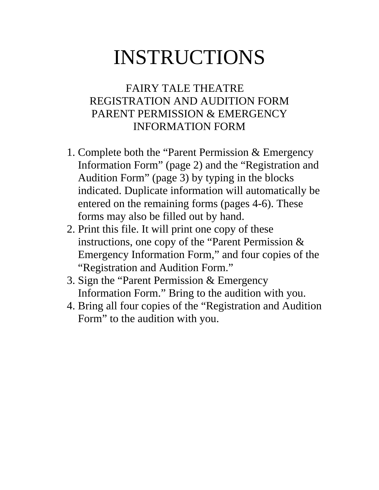# INSTRUCTIONS

## FAIRY TALE THEATRE REGISTRATION AND AUDITION FORM PARENT PERMISSION & EMERGENCY INFORMATION FORM

- 1. Complete both the "Parent Permission & Emergency Information Form" (page 2) and the "Registration and Audition Form" (page 3) by typing in the blocks indicated. Duplicate information will automatically be entered on the remaining forms (pages 4-6). These forms may also be filled out by hand.
- 2. Print this file. It will print one copy of these instructions, one copy of the "Parent Permission & Emergency Information Form," and four copies of the "Registration and Audition Form."
- 3. Sign the "Parent Permission & Emergency Information Form." Bring to the audition with you.
- 4. Bring all four copies of the "Registration and Audition Form" to the audition with you.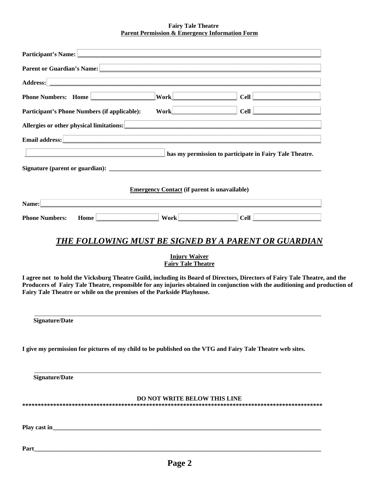### **Fairy Tale Theatre Parent Permission & Emergency Information Form**

| Participant's Name: <u>contract and contract and contract and contract and contract and contract and contract and contract and contract and contract and contract and contract and contract and contract and contract and contra</u>                                                                                                  |                                                     |                                                                                                                       |  |
|---------------------------------------------------------------------------------------------------------------------------------------------------------------------------------------------------------------------------------------------------------------------------------------------------------------------------------------|-----------------------------------------------------|-----------------------------------------------------------------------------------------------------------------------|--|
| Parent or Guardian's Name: Department of Contractor of Contractor Contractor of Contractor Contractor Contractor Contractor Contractor Contractor Contractor Contractor Contractor Contractor Contractor Contractor Contractor                                                                                                        |                                                     |                                                                                                                       |  |
|                                                                                                                                                                                                                                                                                                                                       |                                                     |                                                                                                                       |  |
| Phone Numbers: Home                                                                                                                                                                                                                                                                                                                   | <b>Work</b>                                         | $Cell$ $\Box$                                                                                                         |  |
| Participant's Phone Numbers (if applicable):                                                                                                                                                                                                                                                                                          | $Work$ $\qquad \qquad$                              | $Cell$ $\Box$                                                                                                         |  |
| Allergies or other physical limitations: <u>and the contract of the contract of the contract of the contract of the contract of the contract of the contract of the contract of the contract of the contract of the contract of </u>                                                                                                  |                                                     |                                                                                                                       |  |
|                                                                                                                                                                                                                                                                                                                                       |                                                     | <u> 1989 - Johann Stoff, deutscher Stoff, der Stoff, der Stoff, der Stoff, der Stoff, der Stoff, der Stoff, der S</u> |  |
|                                                                                                                                                                                                                                                                                                                                       |                                                     | has my permission to participate in Fairy Tale Theatre.                                                               |  |
|                                                                                                                                                                                                                                                                                                                                       |                                                     |                                                                                                                       |  |
|                                                                                                                                                                                                                                                                                                                                       |                                                     |                                                                                                                       |  |
|                                                                                                                                                                                                                                                                                                                                       | <b>Emergency Contact (if parent is unavailable)</b> |                                                                                                                       |  |
| Name: <u>Name:</u> 2006. <b>Manual Contract Contract Contract Contract Contract Contract Contract Contract Contract Contract Contract Contract Contract Contract Contract Contract Contract Contract Contract Contract Contract Contr</b>                                                                                             |                                                     |                                                                                                                       |  |
| Home Work Work<br><b>Phone Numbers:</b>                                                                                                                                                                                                                                                                                               |                                                     | $ $ Cell $ $                                                                                                          |  |
| <b>THE FOLLOWING MUST BE SIGNED BY A PARENT OR GUARDIAN</b>                                                                                                                                                                                                                                                                           |                                                     |                                                                                                                       |  |
|                                                                                                                                                                                                                                                                                                                                       | <b>Injury Waiver</b><br><b>Fairy Tale Theatre</b>   |                                                                                                                       |  |
| I agree not to hold the Vicksburg Theatre Guild, including its Board of Directors, Directors of Fairy Tale Theatre, and the<br>Producers of Fairy Tale Theatre, responsible for any injuries obtained in conjunction with the auditioning and production of<br>Fairy Tale Theatre or while on the premises of the Parkside Playhouse. |                                                     |                                                                                                                       |  |
| Signature/Date                                                                                                                                                                                                                                                                                                                        |                                                     |                                                                                                                       |  |
| I give my permission for pictures of my child to be published on the VTG and Fairy Tale Theatre web sites.                                                                                                                                                                                                                            |                                                     |                                                                                                                       |  |
| <b>Signature/Date</b>                                                                                                                                                                                                                                                                                                                 |                                                     |                                                                                                                       |  |
|                                                                                                                                                                                                                                                                                                                                       | DO NOT WRITE BELOW THIS LINE                        |                                                                                                                       |  |
|                                                                                                                                                                                                                                                                                                                                       |                                                     |                                                                                                                       |  |

**Part\_\_\_\_\_\_\_\_\_\_\_\_\_\_\_\_\_\_\_\_\_\_\_\_\_\_\_\_\_\_\_\_\_\_\_\_\_\_\_\_\_\_\_\_\_\_\_\_\_\_\_\_\_\_\_\_\_\_\_\_\_\_\_\_\_\_\_\_\_\_\_\_\_\_\_\_\_\_\_\_\_\_\_\_\_\_\_\_\_\_\_\_**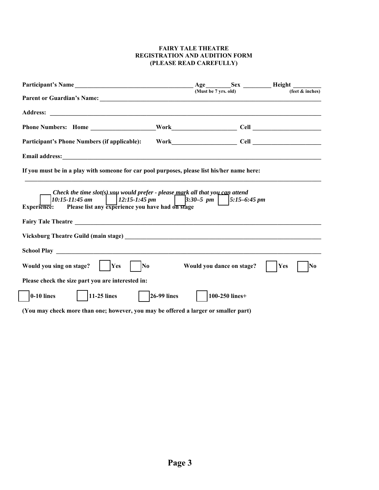| Parent or Guardian's Name: 1988. The Contract of Contract of Contract of Contract of Contract of Contract of Contract of Contract of Contract of Contract of Contract of Contract of Contract of Contract of Contract of Contr |                     | (Must be 7 yrs. old) |                           | (feet $&$ inches) |
|--------------------------------------------------------------------------------------------------------------------------------------------------------------------------------------------------------------------------------|---------------------|----------------------|---------------------------|-------------------|
|                                                                                                                                                                                                                                |                     |                      |                           |                   |
|                                                                                                                                                                                                                                |                     |                      |                           |                   |
|                                                                                                                                                                                                                                |                     |                      |                           |                   |
| Email address: Note that the contract of the contract of the contract of the contract of the contract of the contract of the contract of the contract of the contract of the contract of the contract of the contract of the c |                     |                      |                           |                   |
| If you must be in a play with someone for car pool purposes, please list his/her name here:                                                                                                                                    |                     |                      |                           |                   |
| Check the time slot(s) you would prefer - please $maxk$ all that you can attend<br>$12:15-1:45 \, \text{pm}$<br>$10:15 - 11:45$ am<br>Please list any experience you have had on stage<br><b>Experience:</b>                   |                     | $3:30-5$ pm          | $5:15-6:45 \, \text{pm}$  |                   |
|                                                                                                                                                                                                                                |                     |                      |                           |                   |
|                                                                                                                                                                                                                                |                     |                      |                           |                   |
| Would you sing on stage?           Yes<br>$\overline{\text{No}}$                                                                                                                                                               |                     |                      | Would you dance on stage? | Yes<br> No        |
| Please check the size part you are interested in:                                                                                                                                                                              |                     |                      |                           |                   |
| $\vert$   11-25 lines<br>$ 0-10 $ lines                                                                                                                                                                                        | $\vert$ 26-99 lines |                      | 100-250 lines+            |                   |
| (You may check more than one; however, you may be offered a larger or smaller part)                                                                                                                                            |                     |                      |                           |                   |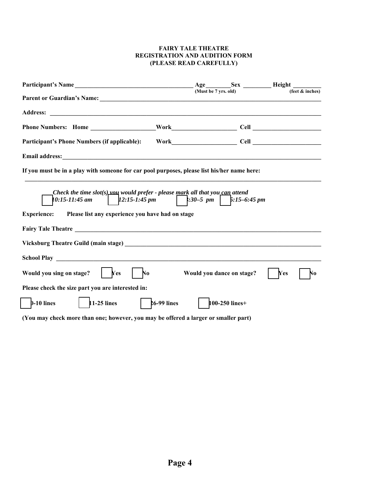|                                                                                                                                                                                                                                                         |               | (Must be 7 yrs. old) |                           | (feet $&$ inches) |
|---------------------------------------------------------------------------------------------------------------------------------------------------------------------------------------------------------------------------------------------------------|---------------|----------------------|---------------------------|-------------------|
|                                                                                                                                                                                                                                                         |               |                      |                           |                   |
|                                                                                                                                                                                                                                                         |               |                      |                           |                   |
| <b>Participant's Phone Numbers (if applicable):</b>                                                                                                                                                                                                     |               |                      |                           |                   |
|                                                                                                                                                                                                                                                         |               |                      |                           |                   |
| If you must be in a play with someone for car pool purposes, please list his/her name here:                                                                                                                                                             |               |                      |                           |                   |
| Check the time $slot(s)$ vould prefer - please mark all that you can attend<br>  $12:15-1:45 \text{ pm}$   $:30-5 \text{ pm}$   $5:15-6:45 \text{ pm}$<br>$10:15 - 11:45$ am<br>Experience: Please list any experience you have had on stage            |               |                      |                           |                   |
|                                                                                                                                                                                                                                                         |               |                      |                           |                   |
|                                                                                                                                                                                                                                                         |               |                      |                           |                   |
| N <sub>o</sub><br>Would you sing on stage?<br>Yes                                                                                                                                                                                                       |               |                      | Would you dance on stage? | Yes<br>No         |
| Please check the size part you are interested in:                                                                                                                                                                                                       |               |                      |                           |                   |
| $\vert$ 11-25 lines<br>$\sqrt{3}$ , and the contract of the contract of the contract of the contract of the contract of the contract of the contract of the contract of the contract of the contract of the contract of the contract of the contract of | $26-99$ lines |                      | $100-250$ lines+          |                   |

**(You may check more than one; however, you may be offered a larger or smaller part)**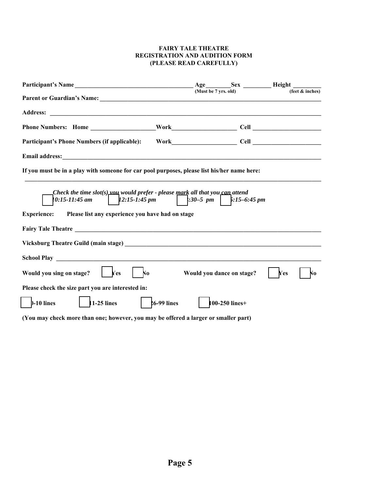| Participant's Name                                                                                                                                                         |                    | Age                  |                           | <b>Sex ________ Height ______</b> |
|----------------------------------------------------------------------------------------------------------------------------------------------------------------------------|--------------------|----------------------|---------------------------|-----------------------------------|
|                                                                                                                                                                            |                    | (Must be 7 yrs. old) |                           | (feet $&$ inches)                 |
|                                                                                                                                                                            |                    |                      |                           |                                   |
|                                                                                                                                                                            |                    |                      |                           |                                   |
| <b>Participant's Phone Numbers (if applicable):</b>                                                                                                                        |                    |                      |                           |                                   |
|                                                                                                                                                                            |                    |                      |                           |                                   |
| If you must be in a play with someone for car pool purposes, please list his/her name here:                                                                                |                    |                      |                           |                                   |
| Check the time $slot(s)$ vould prefer - please mark all that you can attend<br>$0:15 - 11:45$ am<br><b>Experience:</b><br>Please list any experience you have had on stage |                    |                      |                           |                                   |
| Vicksburg Theatre Guild (main stage) Law March 2014 19:30 19:30 19:30 19:30 19:30 19:30 19:30 19:30 19:30 19:30                                                            |                    |                      |                           |                                   |
|                                                                                                                                                                            |                    |                      |                           |                                   |
| Would you sing on stage?<br>Yes<br>No                                                                                                                                      |                    |                      | Would you dance on stage? | Yes<br>No                         |
| Please check the size part you are interested in:                                                                                                                          |                    |                      |                           |                                   |
| $1-25$ lines<br>$-10$ lines                                                                                                                                                | <b>26-99 lines</b> |                      | 100-250 lines+            |                                   |

**(You may check more than one; however, you may be offered a larger or smaller part)**